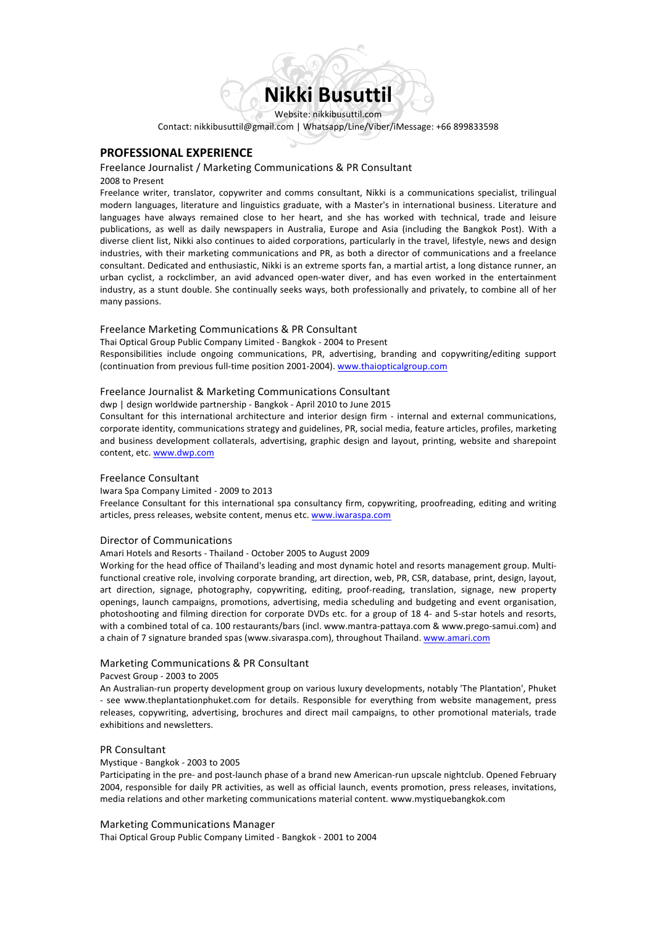

Contact: nikkibusuttil@gmail.com | Whatsapp/Line/Viber/iMessage: +66 899833598

# **PROFESSIONAL EXPERIENCE**

# Freelance Journalist / Marketing Communications & PR Consultant

2008 to Present

Freelance writer, translator, copywriter and comms consultant, Nikki is a communications specialist, trilingual modern languages, literature and linguistics graduate, with a Master's in international business. Literature and languages have always remained close to her heart, and she has worked with technical, trade and leisure publications, as well as daily newspapers in Australia, Europe and Asia (including the Bangkok Post). With a diverse client list, Nikki also continues to aided corporations, particularly in the travel, lifestyle, news and design industries, with their marketing communications and PR, as both a director of communications and a freelance consultant. Dedicated and enthusiastic, Nikki is an extreme sports fan, a martial artist, a long distance runner, an urban cyclist, a rockclimber, an avid advanced open-water diver, and has even worked in the entertainment industry, as a stunt double. She continually seeks ways, both professionally and privately, to combine all of her many passions.

## Freelance Marketing Communications & PR Consultant

Thai Optical Group Public Company Limited - Bangkok - 2004 to Present Responsibilities include ongoing communications, PR, advertising, branding and copywriting/editing support (continuation from previous full-time position 2001-2004). www.thaiopticalgroup.com

# Freelance Journalist & Marketing Communications Consultant

dwp | design worldwide partnership - Bangkok - April 2010 to June 2015

Consultant for this international architecture and interior design firm - internal and external communications, corporate identity, communications strategy and guidelines, PR, social media, feature articles, profiles, marketing and business development collaterals, advertising, graphic design and layout, printing, website and sharepoint content, etc. www.dwp.com

# Freelance Consultant

Iwara Spa Company Limited - 2009 to 2013

Freelance Consultant for this international spa consultancy firm, copywriting, proofreading, editing and writing articles, press releases, website content, menus etc. www.iwaraspa.com

### Director of Communications

Amari Hotels and Resorts - Thailand - October 2005 to August 2009

Working for the head office of Thailand's leading and most dynamic hotel and resorts management group. Multifunctional creative role, involving corporate branding, art direction, web, PR, CSR, database, print, design, layout, art direction, signage, photography, copywriting, editing, proof-reading, translation, signage, new property openings, launch campaigns, promotions, advertising, media scheduling and budgeting and event organisation, photoshooting and filming direction for corporate DVDs etc. for a group of 18 4- and 5-star hotels and resorts, with a combined total of ca. 100 restaurants/bars (incl. www.mantra-pattaya.com & www.prego-samui.com) and a chain of 7 signature branded spas (www.sivaraspa.com), throughout Thailand. www.amari.com

#### Marketing Communications & PR Consultant

Pacvest Group - 2003 to 2005

An Australian-run property development group on various luxury developments, notably 'The Plantation', Phuket - see www.theplantationphuket.com for details. Responsible for everything from website management, press releases, copywriting, advertising, brochures and direct mail campaigns, to other promotional materials, trade exhibitions and newsletters.

#### PR Consultant

#### Mystique - Bangkok - 2003 to 2005

Participating in the pre- and post-launch phase of a brand new American-run upscale nightclub. Opened February 2004, responsible for daily PR activities, as well as official launch, events promotion, press releases, invitations, media relations and other marketing communications material content. www.mystiquebangkok.com

## Marketing Communications Manager

Thai Optical Group Public Company Limited - Bangkok - 2001 to 2004